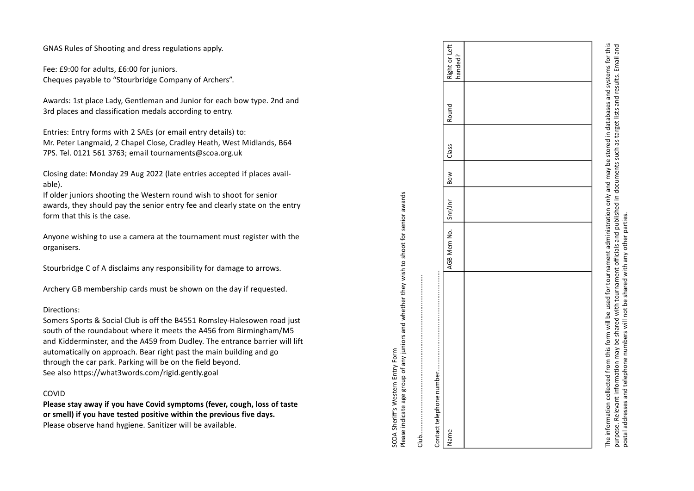GNAS Rules of Shooting and dress regulations apply.

Fee: £9:00 for adults, £6:00 for juniors. Cheques payable to "Stourbridge Company of Archers".

Awards: 1st place Lady, Gentleman and Junior for each bow type. 2nd and 3rd places and classification medals according to entry.

Entries: Entry forms with 2 SAEs (or email entry details) to: Mr. Peter Langmaid, 2 Chapel Close, Cradley Heath, West Midlands, B64 7PS. Tel. 0121 561 3763; email tournaments@scoa.org.uk

Closing date: Monday 29 Aug 2022 (late entries accepted if places available).

If older juniors shooting the Western round wish to shoot for senior awards, they should pay the senior entry fee and clearly state on the entry form that this is the case.

Anyone wishing to use a camera at the tournament must register with the organisers.

Stourbridge C of A disclaims any responsibility for damage to arrows.

Archery GB membership cards must be shown on the day if requested.

## Directions:

Somers Sports & Social Club is off the B4551 Romsley-Halesowen road just south of the roundabout where it meets the A456 from Birmingham/M5 and Kidderminster, and the A459 from Dudley. The entrance barrier will lift automatically on approach. Bear right past the main building and go through the car park. Parking will be on the field beyond. See also https://what3words.com/rigid.gently.goal

## COVID

Please stay away if you have Covid symptoms (fever, cough, loss of taste or smell) if you have tested positive within the previous five days.